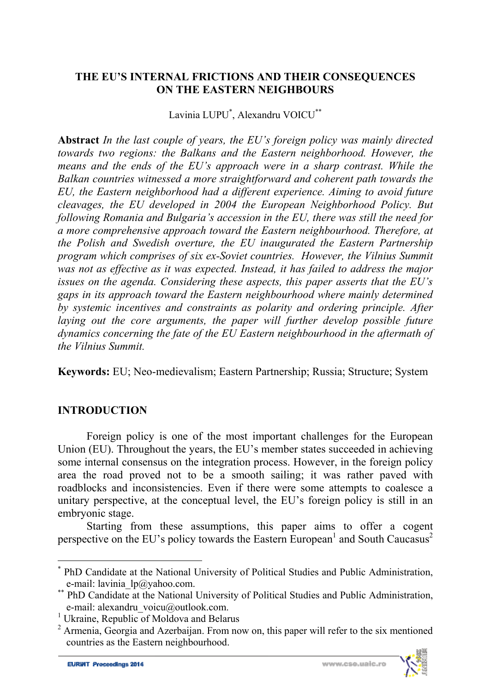### **THE EU'S INTERNAL FRICTIONS AND THEIR CONSEQUENCES ON THE EASTERN NEIGHBOURS**

Lavinia LUPU\* , Alexandru VOICU\*\*

**Abstract** *In the last couple of years, the EU's foreign policy was mainly directed towards two regions: the Balkans and the Eastern neighborhood. However, the means and the ends of the EU's approach were in a sharp contrast. While the Balkan countries witnessed a more straightforward and coherent path towards the EU, the Eastern neighborhood had a different experience. Aiming to avoid future cleavages, the EU developed in 2004 the European Neighborhood Policy. But following Romania and Bulgaria's accession in the EU, there was still the need for a more comprehensive approach toward the Eastern neighbourhood. Therefore, at the Polish and Swedish overture, the EU inaugurated the Eastern Partnership program which comprises of six ex-Soviet countries. However, the Vilnius Summit was not as effective as it was expected. Instead, it has failed to address the major issues on the agenda. Considering these aspects, this paper asserts that the EU's gaps in its approach toward the Eastern neighbourhood where mainly determined by systemic incentives and constraints as polarity and ordering principle. After laying out the core arguments, the paper will further develop possible future dynamics concerning the fate of the EU Eastern neighbourhood in the aftermath of the Vilnius Summit.* 

**Keywords:** EU; Neo-medievalism; Eastern Partnership; Russia; Structure; System

## **INTRODUCTION**

Foreign policy is one of the most important challenges for the European Union (EU). Throughout the years, the EU's member states succeeded in achieving some internal consensus on the integration process. However, in the foreign policy area the road proved not to be a smooth sailing; it was rather paved with roadblocks and inconsistencies. Even if there were some attempts to coalesce a unitary perspective, at the conceptual level, the EU's foreign policy is still in an embryonic stage.

Starting from these assumptions, this paper aims to offer a cogent perspective on the EU's policy towards the Eastern European<sup>1</sup> and South Caucasus<sup>2</sup>

l



<sup>\*</sup> PhD Candidate at the National University of Political Studies and Public Administration,

e-mail: lavinia\_lp@yahoo.com.<br>\*\* PhD Candidate at the National University of Political Studies and Public Administration, e-mail: alexandru\_voicu@outlook.com.

<sup>&</sup>lt;sup>1</sup> Ukraine, Republic of Moldova and Belarus

 $2 \text{ Armenia}$ , Georgia and Azerbaijan. From now on, this paper will refer to the six mentioned countries as the Eastern neighbourhood.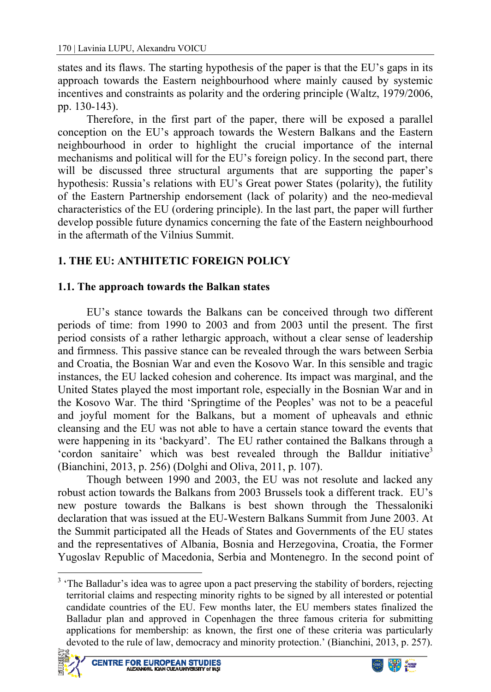states and its flaws. The starting hypothesis of the paper is that the EU's gaps in its approach towards the Eastern neighbourhood where mainly caused by systemic incentives and constraints as polarity and the ordering principle (Waltz, 1979/2006, pp. 130-143).

Therefore, in the first part of the paper, there will be exposed a parallel conception on the EU's approach towards the Western Balkans and the Eastern neighbourhood in order to highlight the crucial importance of the internal mechanisms and political will for the EU's foreign policy. In the second part, there will be discussed three structural arguments that are supporting the paper's hypothesis: Russia's relations with EU's Great power States (polarity), the futility of the Eastern Partnership endorsement (lack of polarity) and the neo-medieval characteristics of the EU (ordering principle). In the last part, the paper will further develop possible future dynamics concerning the fate of the Eastern neighbourhood in the aftermath of the Vilnius Summit.

# **1. THE EU: ANTHITETIC FOREIGN POLICY**

### **1.1. The approach towards the Balkan states**

EU's stance towards the Balkans can be conceived through two different periods of time: from 1990 to 2003 and from 2003 until the present. The first period consists of a rather lethargic approach, without a clear sense of leadership and firmness. This passive stance can be revealed through the wars between Serbia and Croatia, the Bosnian War and even the Kosovo War. In this sensible and tragic instances, the EU lacked cohesion and coherence. Its impact was marginal, and the United States played the most important role, especially in the Bosnian War and in the Kosovo War. The third 'Springtime of the Peoples' was not to be a peaceful and joyful moment for the Balkans, but a moment of upheavals and ethnic cleansing and the EU was not able to have a certain stance toward the events that were happening in its 'backyard'. The EU rather contained the Balkans through a 'cordon sanitaire' which was best revealed through the Balldur initiative<sup>3</sup> (Bianchini, 2013, p. 256) (Dolghi and Oliva, 2011, p. 107).

Though between 1990 and 2003, the EU was not resolute and lacked any robust action towards the Balkans from 2003 Brussels took a different track. EU's new posture towards the Balkans is best shown through the Thessaloniki declaration that was issued at the EU-Western Balkans Summit from June 2003. At the Summit participated all the Heads of States and Governments of the EU states and the representatives of Albania, Bosnia and Herzegovina, Croatia, the Former Yugoslav Republic of Macedonia, Serbia and Montenegro. In the second point of

<sup>&</sup>lt;sup>3</sup> The Balladur's idea was to agree upon a pact preserving the stability of borders, rejecting territorial claims and respecting minority rights to be signed by all interested or potential candidate countries of the EU. Few months later, the EU members states finalized the Balladur plan and approved in Copenhagen the three famous criteria for submitting applications for membership: as known, the first one of these criteria was particularly devoted to the rule of law, democracy and minority protection.' (Bianchini, 2013, p. 257).



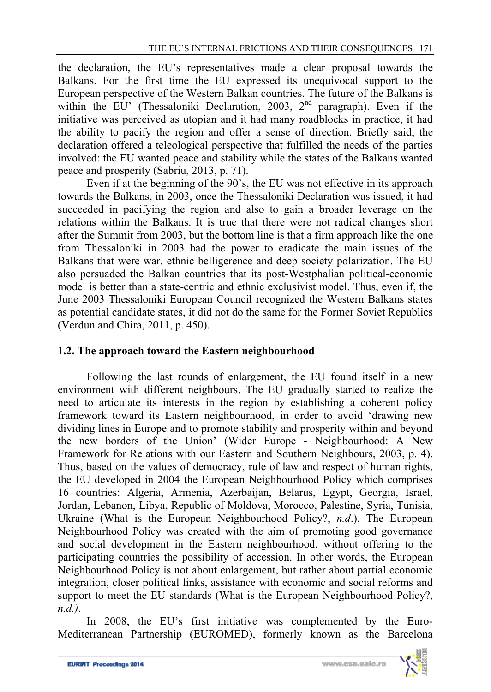the declaration, the EU's representatives made a clear proposal towards the Balkans. For the first time the EU expressed its unequivocal support to the European perspective of the Western Balkan countries. The future of the Balkans is within the EU' (Thessaloniki Declaration, 2003, 2<sup>nd</sup> paragraph). Even if the initiative was perceived as utopian and it had many roadblocks in practice, it had the ability to pacify the region and offer a sense of direction. Briefly said, the declaration offered a teleological perspective that fulfilled the needs of the parties involved: the EU wanted peace and stability while the states of the Balkans wanted peace and prosperity (Sabriu, 2013, p. 71).

Even if at the beginning of the 90's, the EU was not effective in its approach towards the Balkans, in 2003, once the Thessaloniki Declaration was issued, it had succeeded in pacifying the region and also to gain a broader leverage on the relations within the Balkans. It is true that there were not radical changes short after the Summit from 2003, but the bottom line is that a firm approach like the one from Thessaloniki in 2003 had the power to eradicate the main issues of the Balkans that were war, ethnic belligerence and deep society polarization. The EU also persuaded the Balkan countries that its post-Westphalian political-economic model is better than a state-centric and ethnic exclusivist model. Thus, even if, the June 2003 Thessaloniki European Council recognized the Western Balkans states as potential candidate states, it did not do the same for the Former Soviet Republics (Verdun and Chira, 2011, p. 450).

### **1.2. The approach toward the Eastern neighbourhood**

Following the last rounds of enlargement, the EU found itself in a new environment with different neighbours. The EU gradually started to realize the need to articulate its interests in the region by establishing a coherent policy framework toward its Eastern neighbourhood, in order to avoid 'drawing new dividing lines in Europe and to promote stability and prosperity within and beyond the new borders of the Union' (Wider Europe - Neighbourhood: A New Framework for Relations with our Eastern and Southern Neighbours, 2003, p. 4). Thus, based on the values of democracy, rule of law and respect of human rights, the EU developed in 2004 the European Neighbourhood Policy which comprises 16 countries: Algeria, Armenia, Azerbaijan, Belarus, Egypt, Georgia, Israel, Jordan, Lebanon, Libya, Republic of Moldova, Morocco, Palestine, Syria, Tunisia, Ukraine (What is the European Neighbourhood Policy?, *n.d*.). The European Neighbourhood Policy was created with the aim of promoting good governance and social development in the Eastern neighbourhood, without offering to the participating countries the possibility of accession. In other words, the European Neighbourhood Policy is not about enlargement, but rather about partial economic integration, closer political links, assistance with economic and social reforms and support to meet the EU standards (What is the European Neighbourhood Policy?, *n.d.)*.

In 2008, the EU's first initiative was complemented by the Euro-Mediterranean Partnership (EUROMED), formerly known as the Barcelona

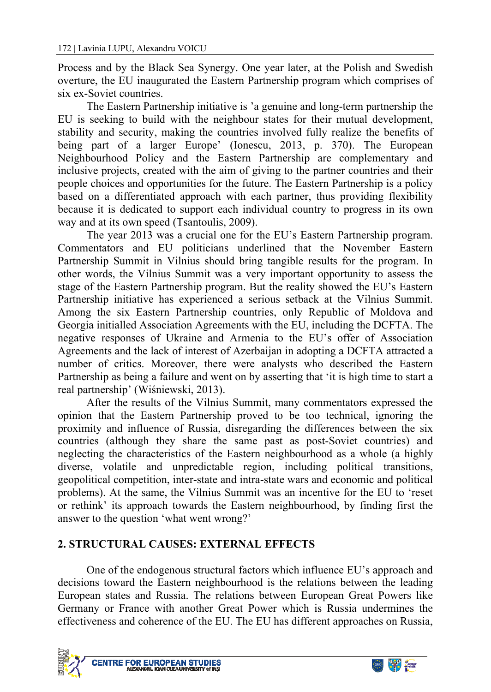Process and by the Black Sea Synergy. One year later, at the Polish and Swedish overture, the EU inaugurated the Eastern Partnership program which comprises of six ex-Soviet countries.

The Eastern Partnership initiative is 'a genuine and long-term partnership the EU is seeking to build with the neighbour states for their mutual development, stability and security, making the countries involved fully realize the benefits of being part of a larger Europe' (Ionescu, 2013, p. 370). The European Neighbourhood Policy and the Eastern Partnership are complementary and inclusive projects, created with the aim of giving to the partner countries and their people choices and opportunities for the future. The Eastern Partnership is a policy based on a differentiated approach with each partner, thus providing flexibility because it is dedicated to support each individual country to progress in its own way and at its own speed (Tsantoulis, 2009).

The year 2013 was a crucial one for the EU's Eastern Partnership program. Commentators and EU politicians underlined that the November Eastern Partnership Summit in Vilnius should bring tangible results for the program. In other words, the Vilnius Summit was a very important opportunity to assess the stage of the Eastern Partnership program. But the reality showed the EU's Eastern Partnership initiative has experienced a serious setback at the Vilnius Summit. Among the six Eastern Partnership countries, only Republic of Moldova and Georgia initialled Association Agreements with the EU, including the DCFTA. The negative responses of Ukraine and Armenia to the EU's offer of Association Agreements and the lack of interest of Azerbaijan in adopting a DCFTA attracted a number of critics. Moreover, there were analysts who described the Eastern Partnership as being a failure and went on by asserting that 'it is high time to start a real partnership' (Wiśniewski, 2013).

After the results of the Vilnius Summit, many commentators expressed the opinion that the Eastern Partnership proved to be too technical, ignoring the proximity and influence of Russia, disregarding the differences between the six countries (although they share the same past as post-Soviet countries) and neglecting the characteristics of the Eastern neighbourhood as a whole (a highly diverse, volatile and unpredictable region, including political transitions, geopolitical competition, inter-state and intra-state wars and economic and political problems). At the same, the Vilnius Summit was an incentive for the EU to 'reset or rethink' its approach towards the Eastern neighbourhood, by finding first the answer to the question 'what went wrong?'

### **2. STRUCTURAL CAUSES: EXTERNAL EFFECTS**

One of the endogenous structural factors which influence EU's approach and decisions toward the Eastern neighbourhood is the relations between the leading European states and Russia. The relations between European Great Powers like Germany or France with another Great Power which is Russia undermines the effectiveness and coherence of the EU. The EU has different approaches on Russia,



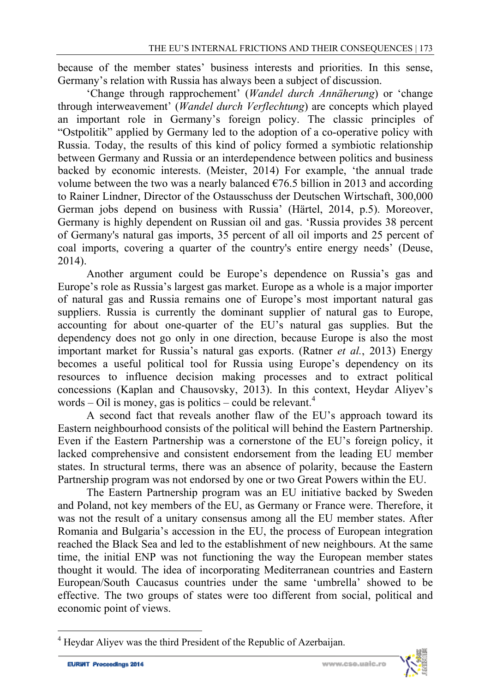because of the member states' business interests and priorities. In this sense, Germany's relation with Russia has always been a subject of discussion.

'Change through rapprochement' (*Wandel durch Annäherung*) or 'change through interweavement' (*Wandel durch Verflechtung*) are concepts which played an important role in Germany's foreign policy. The classic principles of "Ostpolitik" applied by Germany led to the adoption of a co-operative policy with Russia. Today, the results of this kind of policy formed a symbiotic relationship between Germany and Russia or an interdependence between politics and business backed by economic interests. (Meister, 2014) For example, 'the annual trade volume between the two was a nearly balanced  $\epsilon$ 76.5 billion in 2013 and according to Rainer Lindner, Director of the Ostausschuss der Deutschen Wirtschaft, 300,000 German jobs depend on business with Russia' (Härtel, 2014, p.5). Moreover, Germany is highly dependent on Russian oil and gas. 'Russia provides 38 percent of Germany's natural gas imports, 35 percent of all oil imports and 25 percent of coal imports, covering a quarter of the country's entire energy needs' (Deuse, 2014).

Another argument could be Europe's dependence on Russia's gas and Europe's role as Russia's largest gas market. Europe as a whole is a major importer of natural gas and Russia remains one of Europe's most important natural gas suppliers. Russia is currently the dominant supplier of natural gas to Europe, accounting for about one-quarter of the EU's natural gas supplies. But the dependency does not go only in one direction, because Europe is also the most important market for Russia's natural gas exports. (Ratner *et al.*, 2013) Energy becomes a useful political tool for Russia using Europe's dependency on its resources to influence decision making processes and to extract political concessions (Kaplan and Chausovsky, 2013). In this context, Heydar Aliyev's words – Oil is money, gas is politics – could be relevant.<sup>4</sup>

A second fact that reveals another flaw of the EU's approach toward its Eastern neighbourhood consists of the political will behind the Eastern Partnership. Even if the Eastern Partnership was a cornerstone of the EU's foreign policy, it lacked comprehensive and consistent endorsement from the leading EU member states. In structural terms, there was an absence of polarity, because the Eastern Partnership program was not endorsed by one or two Great Powers within the EU.

The Eastern Partnership program was an EU initiative backed by Sweden and Poland, not key members of the EU, as Germany or France were. Therefore, it was not the result of a unitary consensus among all the EU member states. After Romania and Bulgaria's accession in the EU, the process of European integration reached the Black Sea and led to the establishment of new neighbours. At the same time, the initial ENP was not functioning the way the European member states thought it would. The idea of incorporating Mediterranean countries and Eastern European/South Caucasus countries under the same 'umbrella' showed to be effective. The two groups of states were too different from social, political and economic point of views.

l



<sup>4</sup> Heydar Aliyev was the third President of the Republic of Azerbaijan.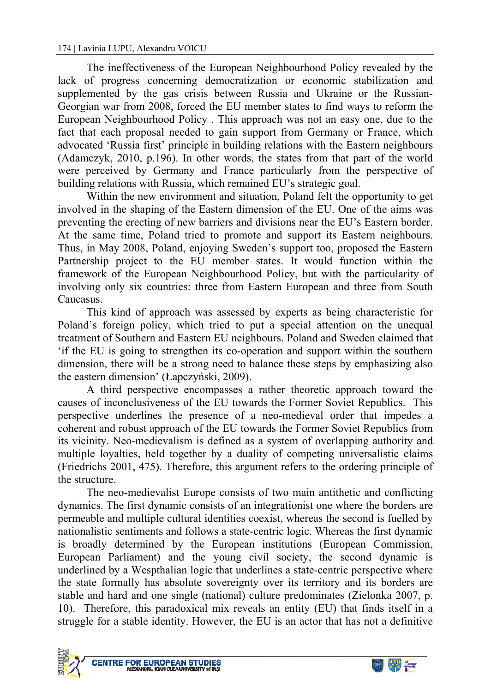The ineffectiveness of the European Neighbourhood Policy revealed by the lack of progress concerning democratization or economic stabilization and supplemented by the gas crisis between Russia and Ukraine or the Russian-Georgian war from 2008, forced the EU member states to find ways to reform the European Neighbourhood Policy . This approach was not an easy one, due to the fact that each proposal needed to gain support from Germany or France, which advocated 'Russia first' principle in building relations with the Eastern neighbours (Adamczyk, 2010, p.196). In other words, the states from that part of the world were perceived by Germany and France particularly from the perspective of building relations with Russia, which remained EU's strategic goal.

Within the new environment and situation, Poland felt the opportunity to get involved in the shaping of the Eastern dimension of the EU. One of the aims was preventing the erecting of new barriers and divisions near the EU's Eastern border. At the same time, Poland tried to promote and support its Eastern neighbours. Thus, in May 2008, Poland, enjoying Sweden's support too, proposed the Eastern Partnership project to the EU member states. It would function within the framework of the European Neighbourhood Policy, but with the particularity of involving only six countries: three from Eastern European and three from South Caucasus.

This kind of approach was assessed by experts as being characteristic for Poland's foreign policy, which tried to put a special attention on the unequal treatment of Southern and Eastern EU neighbours. Poland and Sweden claimed that 'if the EU is going to strengthen its co-operation and support within the southern dimension, there will be a strong need to balance these steps by emphasizing also the eastern dimension' (Łapczyński, 2009).

A third perspective encompasses a rather theoretic approach toward the causes of inconclusiveness of the EU towards the Former Soviet Republics. This perspective underlines the presence of a neo-medieval order that impedes a coherent and robust approach of the EU towards the Former Soviet Republics from its vicinity. Neo-medievalism is defined as a system of overlapping authority and multiple loyalties, held together by a duality of competing universalistic claims (Friedrichs 2001, 475). Therefore, this argument refers to the ordering principle of the structure.

The neo-medievalist Europe consists of two main antithetic and conflicting dynamics. The first dynamic consists of an integrationist one where the borders are permeable and multiple cultural identities coexist, whereas the second is fuelled by nationalistic sentiments and follows a state-centric logic. Whereas the first dynamic is broadly determined by the European institutions (European Commission, European Parliament) and the young civil society, the second dynamic is underlined by a Wespthalian logic that underlines a state-centric perspective where the state formally has absolute sovereignty over its territory and its borders are stable and hard and one single (national) culture predominates (Zielonka 2007, p. 10). Therefore, this paradoxical mix reveals an entity (EU) that finds itself in a struggle for a stable identity. However, the EU is an actor that has not a definitive



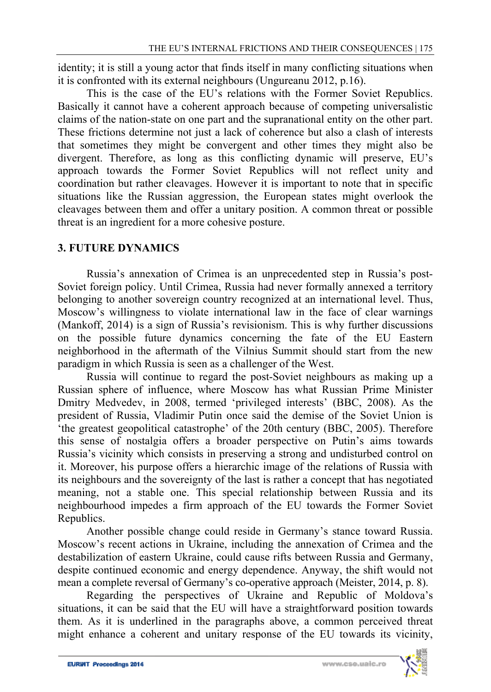identity; it is still a young actor that finds itself in many conflicting situations when it is confronted with its external neighbours (Ungureanu 2012, p.16).

This is the case of the EU's relations with the Former Soviet Republics. Basically it cannot have a coherent approach because of competing universalistic claims of the nation-state on one part and the supranational entity on the other part. These frictions determine not just a lack of coherence but also a clash of interests that sometimes they might be convergent and other times they might also be divergent. Therefore, as long as this conflicting dynamic will preserve, EU's approach towards the Former Soviet Republics will not reflect unity and coordination but rather cleavages. However it is important to note that in specific situations like the Russian aggression, the European states might overlook the cleavages between them and offer a unitary position. A common threat or possible threat is an ingredient for a more cohesive posture.

### **3. FUTURE DYNAMICS**

Russia's annexation of Crimea is an unprecedented step in Russia's post-Soviet foreign policy. Until Crimea, Russia had never formally annexed a territory belonging to another sovereign country recognized at an international level. Thus, Moscow's willingness to violate international law in the face of clear warnings (Mankoff, 2014) is a sign of Russia's revisionism. This is why further discussions on the possible future dynamics concerning the fate of the EU Eastern neighborhood in the aftermath of the Vilnius Summit should start from the new paradigm in which Russia is seen as a challenger of the West.

Russia will continue to regard the post-Soviet neighbours as making up a Russian sphere of influence, where Moscow has what Russian Prime Minister Dmitry Medvedev, in 2008, termed 'privileged interests' (BBC, 2008). As the president of Russia, Vladimir Putin once said the demise of the Soviet Union is 'the greatest geopolitical catastrophe' of the 20th century (BBC, 2005). Therefore this sense of nostalgia offers a broader perspective on Putin's aims towards Russia's vicinity which consists in preserving a strong and undisturbed control on it. Moreover, his purpose offers a hierarchic image of the relations of Russia with its neighbours and the sovereignty of the last is rather a concept that has negotiated meaning, not a stable one. This special relationship between Russia and its neighbourhood impedes a firm approach of the EU towards the Former Soviet Republics.

Another possible change could reside in Germany's stance toward Russia. Moscow's recent actions in Ukraine, including the annexation of Crimea and the destabilization of eastern Ukraine, could cause rifts between Russia and Germany, despite continued economic and energy dependence. Anyway, the shift would not mean a complete reversal of Germany's co-operative approach (Meister, 2014, p. 8).

Regarding the perspectives of Ukraine and Republic of Moldova's situations, it can be said that the EU will have a straightforward position towards them. As it is underlined in the paragraphs above, a common perceived threat might enhance a coherent and unitary response of the EU towards its vicinity,

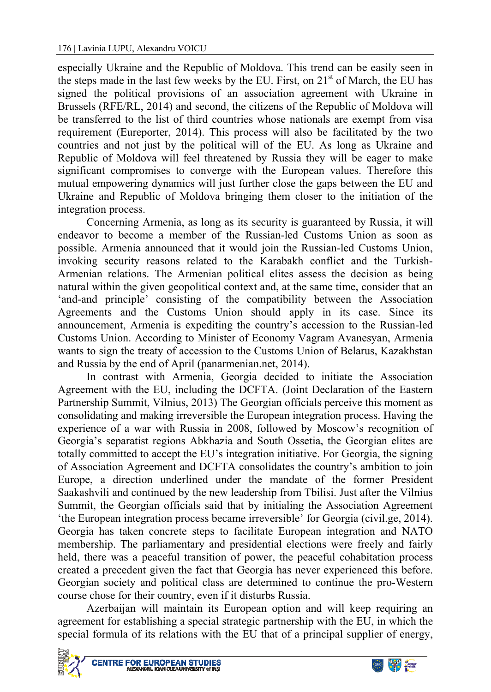especially Ukraine and the Republic of Moldova. This trend can be easily seen in the steps made in the last few weeks by the EU. First, on  $21<sup>st</sup>$  of March, the EU has signed the political provisions of an association agreement with Ukraine in Brussels (RFE/RL, 2014) and second, the citizens of the Republic of Moldova will be transferred to the list of third countries whose nationals are exempt from visa requirement (Eureporter, 2014). This process will also be facilitated by the two countries and not just by the political will of the EU. As long as Ukraine and Republic of Moldova will feel threatened by Russia they will be eager to make significant compromises to converge with the European values. Therefore this mutual empowering dynamics will just further close the gaps between the EU and Ukraine and Republic of Moldova bringing them closer to the initiation of the integration process.

Concerning Armenia, as long as its security is guaranteed by Russia, it will endeavor to become a member of the Russian-led Customs Union as soon as possible. Armenia announced that it would join the Russian-led Customs Union, invoking security reasons related to the Karabakh conflict and the Turkish-Armenian relations. The Armenian political elites assess the decision as being natural within the given geopolitical context and, at the same time, consider that an 'and-and principle' consisting of the compatibility between the Association Agreements and the Customs Union should apply in its case. Since its announcement, Armenia is expediting the country's accession to the Russian-led Customs Union. According to Minister of Economy Vagram Avanesyan, Armenia wants to sign the treaty of accession to the Customs Union of Belarus, Kazakhstan and Russia by the end of April (panarmenian.net, 2014).

In contrast with Armenia, Georgia decided to initiate the Association Agreement with the EU, including the DCFTA. (Joint Declaration of the Eastern Partnership Summit, Vilnius, 2013) The Georgian officials perceive this moment as consolidating and making irreversible the European integration process. Having the experience of a war with Russia in 2008, followed by Moscow's recognition of Georgia's separatist regions Abkhazia and South Ossetia, the Georgian elites are totally committed to accept the EU's integration initiative. For Georgia, the signing of Association Agreement and DCFTA consolidates the country's ambition to join Europe, a direction underlined under the mandate of the former President Saakashvili and continued by the new leadership from Tbilisi. Just after the Vilnius Summit, the Georgian officials said that by initialing the Association Agreement 'the European integration process became irreversible' for Georgia (civil.ge, 2014). Georgia has taken concrete steps to facilitate European integration and NATO membership. The parliamentary and presidential elections were freely and fairly held, there was a peaceful transition of power, the peaceful cohabitation process created a precedent given the fact that Georgia has never experienced this before. Georgian society and political class are determined to continue the pro-Western course chose for their country, even if it disturbs Russia.

Azerbaijan will maintain its European option and will keep requiring an agreement for establishing a special strategic partnership with the EU, in which the special formula of its relations with the EU that of a principal supplier of energy,



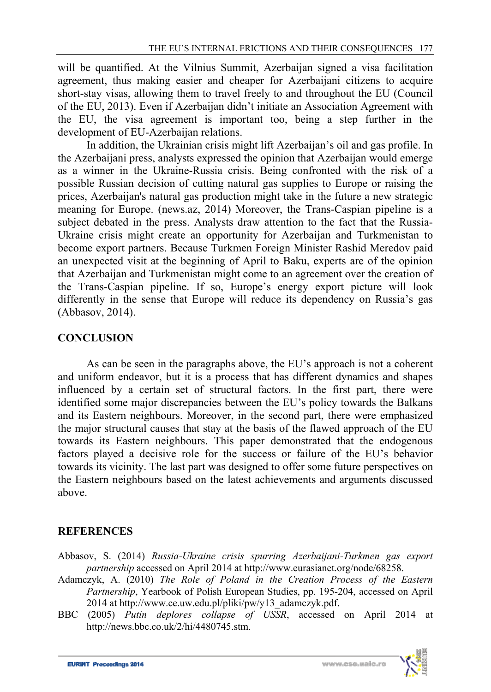will be quantified. At the Vilnius Summit, Azerbaijan signed a visa facilitation agreement, thus making easier and cheaper for Azerbaijani citizens to acquire short-stay visas, allowing them to travel freely to and throughout the EU (Council of the EU, 2013). Even if Azerbaijan didn't initiate an Association Agreement with the EU, the visa agreement is important too, being a step further in the development of EU-Azerbaijan relations.

In addition, the Ukrainian crisis might lift Azerbaijan's oil and gas profile. In the Azerbaijani press, analysts expressed the opinion that Azerbaijan would emerge as a winner in the Ukraine-Russia crisis. Being confronted with the risk of a possible Russian decision of cutting natural gas supplies to Europe or raising the prices, Azerbaijan's natural gas production might take in the future a new strategic meaning for Europe. (news.az, 2014) Moreover, the Trans-Caspian pipeline is a subject debated in the press. Analysts draw attention to the fact that the Russia-Ukraine crisis might create an opportunity for Azerbaijan and Turkmenistan to become export partners. Because Turkmen Foreign Minister Rashid Meredov paid an unexpected visit at the beginning of April to Baku, experts are of the opinion that Azerbaijan and Turkmenistan might come to an agreement over the creation of the Trans-Caspian pipeline. If so, Europe's energy export picture will look differently in the sense that Europe will reduce its dependency on Russia's gas (Abbasov, 2014).

### **CONCLUSION**

As can be seen in the paragraphs above, the EU's approach is not a coherent and uniform endeavor, but it is a process that has different dynamics and shapes influenced by a certain set of structural factors. In the first part, there were identified some major discrepancies between the EU's policy towards the Balkans and its Eastern neighbours. Moreover, in the second part, there were emphasized the major structural causes that stay at the basis of the flawed approach of the EU towards its Eastern neighbours. This paper demonstrated that the endogenous factors played a decisive role for the success or failure of the EU's behavior towards its vicinity. The last part was designed to offer some future perspectives on the Eastern neighbours based on the latest achievements and arguments discussed above.

### **REFERENCES**

- Abbasov, S. (2014) *Russia-Ukraine crisis spurring Azerbaijani-Turkmen gas export partnership* accessed on April 2014 at http://www.eurasianet.org/node/68258.
- Adamczyk, A. (2010) *The Role of Poland in the Creation Process of the Eastern Partnership*, Yearbook of Polish European Studies, pp. 195-204, accessed on April  $2014$  at http://www.ce.uw.edu.pl/pliki/pw/y13\_adamczyk.pdf.
- BBC (2005) *Putin deplores collapse of USSR*, accessed on April 2014 at http://news.bbc.co.uk/2/hi/4480745.stm.

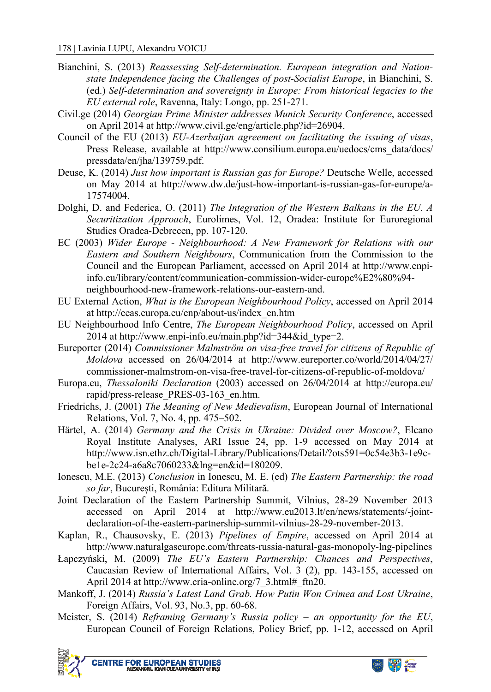- Bianchini, S. (2013) *Reassessing Self-determination. European integration and Nationstate Independence facing the Challenges of post-Socialist Europe*, in Bianchini, S. (ed.) *Self-determination and sovereignty in Europe: From historical legacies to the EU external role*, Ravenna, Italy: Longo, pp. 251-271.
- Civil.ge (2014) *Georgian Prime Minister addresses Munich Security Conference*, accessed on April 2014 at http://www.civil.ge/eng/article.php?id=26904.
- Council of the EU (2013) *EU-Azerbaijan agreement on facilitating the issuing of visas*, Press Release, available at http://www.consilium.europa.eu/uedocs/cms\_data/docs/ pressdata/en/jha/139759.pdf.
- Deuse, K. (2014) *Just how important is Russian gas for Europe?* Deutsche Welle, accessed on May 2014 at http://www.dw.de/just-how-important-is-russian-gas-for-europe/a-17574004.
- Dolghi, D. and Federica, O. (2011) *The Integration of the Western Balkans in the EU. A Securitization Approach*, Eurolimes, Vol. 12, Oradea: Institute for Euroregional Studies Oradea-Debrecen, pp. 107-120.
- EC (2003) *Wider Europe Neighbourhood: A New Framework for Relations with our Eastern and Southern Neighbours*, Communication from the Commission to the Council and the European Parliament, accessed on April 2014 at http://www.enpiinfo.eu/library/content/communication-commission-wider-europe%E2%80%94 neighbourhood-new-framework-relations-our-eastern-and.
- EU External Action, *What is the European Neighbourhood Policy*, accessed on April 2014 at http://eeas.europa.eu/enp/about-us/index\_en.htm
- EU Neighbourhood Info Centre, *The European Neighbourhood Policy*, accessed on April 2014 at http://www.enpi-info.eu/main.php?id=344&id\_type=2.
- Eureporter (2014) *Commissioner Malmström on visa-free travel for citizens of Republic of Moldova* accessed on 26/04/2014 at http://www.eureporter.co/world/2014/04/27/ commissioner-malmstrom-on-visa-free-travel-for-citizens-of-republic-of-moldova/
- Europa.eu, *Thessaloniki Declaration* (2003) accessed on 26/04/2014 at http://europa.eu/ rapid/press-release\_PRES-03-163\_en.htm.
- Friedrichs, J. (2001) *The Meaning of New Medievalism*, European Journal of International Relations, Vol. 7, No. 4, pp. 475–502.
- Härtel, A. (2014) *Germany and the Crisis in Ukraine: Divided over Moscow?*, Elcano Royal Institute Analyses, ARI Issue 24, pp. 1-9 accessed on May 2014 at http://www.isn.ethz.ch/Digital-Library/Publications/Detail/?ots591=0c54e3b3-1e9cbe1e-2c24-a6a8c7060233&lng=en&id=180209.
- Ionescu, M.E. (2013) *Conclusion* in Ionescu, M. E. (ed) *The Eastern Partnership: the road so far*, București, România: Editura Militară.
- Joint Declaration of the Eastern Partnership Summit, Vilnius, 28-29 November 2013 accessed on April 2014 at http://www.eu2013.lt/en/news/statements/-jointdeclaration-of-the-eastern-partnership-summit-vilnius-28-29-november-2013.
- Kaplan, R., Chausovsky, E. (2013) *Pipelines of Empire*, accessed on April 2014 at http://www.naturalgaseurope.com/threats-russia-natural-gas-monopoly-lng-pipelines
- Łapczyński, M. (2009) *The EU's Eastern Partnership: Chances and Perspectives*, Caucasian Review of International Affairs, Vol. 3 (2), pp. 143-155, accessed on April 2014 at http://www.cria-online.org/7\_3.html#\_ftn20.
- Mankoff, J. (2014) *Russia's Latest Land Grab. How Putin Won Crimea and Lost Ukraine*, Foreign Affairs, Vol. 93, No.3, pp. 60-68.
- Meister, S. (2014) *Reframing Germany's Russia policy an opportunity for the EU*, European Council of Foreign Relations, Policy Brief, pp. 1-12, accessed on April